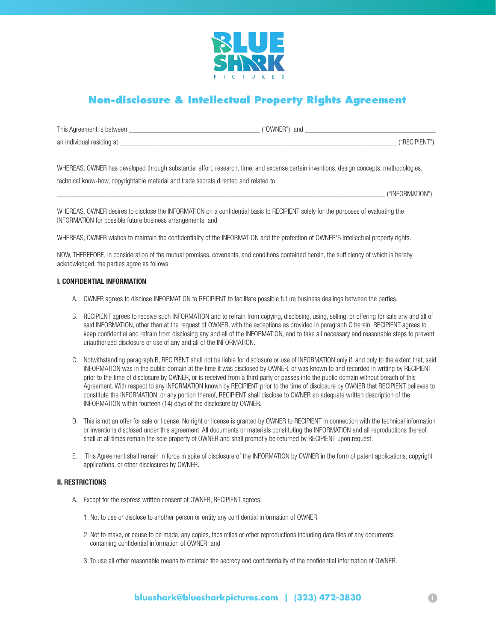

# **Non-disclosure & Intellectual Property Rights Agreement**

| This Agreement is between | "OWNE.<br>): anc |
|---------------------------|------------------|
| an individual residing at | ‴RF              |

WHEREAS, OWNER has developed through substantial effort, research, time, and expense certain inventions, design concepts, methodologies,

technical know-how, copyrightable material and trade secrets directed and related to

\_\_\_\_\_\_\_\_\_\_\_\_\_\_\_\_\_\_\_\_\_\_\_\_\_\_\_\_\_\_\_\_\_\_\_\_\_\_\_\_\_\_\_\_\_\_\_\_\_\_\_\_\_\_\_\_\_\_\_\_\_\_\_\_\_\_\_\_\_\_\_\_\_\_\_\_\_\_\_\_\_\_\_\_\_\_\_\_\_\_ ("INFORMATION");

WHEREAS, OWNER desires to disclose the INFORMATION on a confidential basis to RECIPIENT solely for the purposes of evaluating the INFORMATION for possible future business arrangements; and

WHEREAS, OWNER wishes to maintain the confidentiality of the INFORMATION and the protection of OWNER'S intellectual property rights.

NOW, THEREFORE, in consideration of the mutual promises, covenants, and conditions contained herein, the sufficiency of which is hereby acknowledged, the parties agree as follows:

# I. CONFIDENTIAL INFORMATION

- A. OWNER agrees to disclose INFORMATION to RECIPIENT to facilitate possible future business dealings between the parties.
- B. RECIPIENT agrees to receive such INFORMATION and to refrain from copying, disclosing, using, selling, or offering for sale any and all of said INFORMATION, other than at the request of OWNER, with the exceptions as provided in paragraph C herein. RECIPIENT agrees to keep confidential and refrain from disclosing any and all of the INFORMATION, and to take all necessary and reasonable steps to prevent unauthorized disclosure or use of any and all of the INFORMATION.
- C. Notwithstanding paragraph B, RECIPIENT shall not be liable for disclosure or use of INFORMATION only if, and only to the extent that, said INFORMATION was in the public domain at the time it was disclosed by OWNER, or was known to and recorded in writing by RECIPIENT prior to the time of disclosure by OWNER, or is received from a third party or passes into the public domain without breach of this Agreement. With respect to any INFORMATION known by RECIPIENT prior to the time of disclosure by OWNER that RECIPIENT believes to constitute the INFORMATION, or any portion thereof, RECIPIENT shall disclose to OWNER an adequate written description of the INFORMATION within fourteen (14) days of the disclosure by OWNER.
- D. This is not an offer for sale or license. No right or license is granted by OWNER to RECIPIENT in connection with the technical information or inventions disclosed under this agreement. All documents or materials constituting the INFORMATION and all reproductions thereof shall at all times remain the sole property of OWNER and shall promptly be returned by RECIPIENT upon request.
- E. This Agreement shall remain in force in spite of disclosure of the INFORMATION by OWNER in the form of patent applications, copyright applications, or other disclosures by OWNER.

# II. RESTRICTIONS

- A. Except for the express written consent of OWNER, RECIPIENT agrees:
	- 1. Not to use or disclose to another person or entity any confidential information of OWNER;
	- 2. Not to make, or cause to be made, any copies, facsimiles or other reproductions including data files of any documents containing confidential information of OWNER; and
	- 3. To use all other reasonable means to maintain the secrecy and confidentiality of the confidential information of OWNER.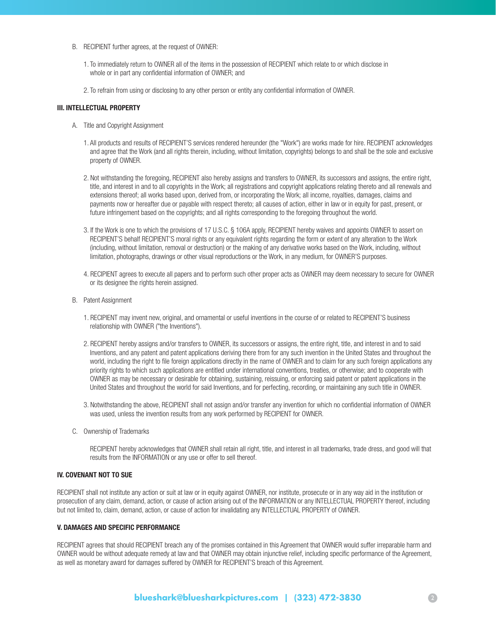- B. RECIPIENT further agrees, at the request of OWNER:
	- 1. To immediately return to OWNER all of the items in the possession of RECIPIENT which relate to or which disclose in whole or in part any confidential information of OWNER; and
	- 2. To refrain from using or disclosing to any other person or entity any confidential information of OWNER.

#### III. INTELLECTUAL PROPERTY

- A. Title and Copyright Assignment
	- 1. All products and results of RECIPIENT'S services rendered hereunder (the "Work") are works made for hire. RECIPIENT acknowledges and agree that the Work (and all rights therein, including, without limitation, copyrights) belongs to and shall be the sole and exclusive property of OWNER.
	- 2. Not withstanding the foregoing, RECIPIENT also hereby assigns and transfers to OWNER, its successors and assigns, the entire right, title, and interest in and to all copyrights in the Work; all registrations and copyright applications relating thereto and all renewals and extensions thereof; all works based upon, derived from, or incorporating the Work; all income, royalties, damages, claims and payments now or hereafter due or payable with respect thereto; all causes of action, either in law or in equity for past, present, or future infringement based on the copyrights; and all rights corresponding to the foregoing throughout the world.
	- 3. If the Work is one to which the provisions of 17 U.S.C. § 106A apply, RECIPIENT hereby waives and appoints OWNER to assert on RECIPIENT'S behalf RECIPIENT'S moral rights or any equivalent rights regarding the form or extent of any alteration to the Work (including, without limitation, removal or destruction) or the making of any derivative works based on the Work, including, without limitation, photographs, drawings or other visual reproductions or the Work, in any medium, for OWNER'S purposes.
	- 4. RECIPIENT agrees to execute all papers and to perform such other proper acts as OWNER may deem necessary to secure for OWNER or its designee the rights herein assigned.
- B. Patent Assignment
	- 1. RECIPIENT may invent new, original, and ornamental or useful inventions in the course of or related to RECIPIENT'S business relationship with OWNER ("the Inventions").
	- 2. RECIPIENT hereby assigns and/or transfers to OWNER, its successors or assigns, the entire right, title, and interest in and to said Inventions, and any patent and patent applications deriving there from for any such invention in the United States and throughout the world, including the right to file foreign applications directly in the name of OWNER and to claim for any such foreign applications any priority rights to which such applications are entitled under international conventions, treaties, or otherwise; and to cooperate with OWNER as may be necessary or desirable for obtaining, sustaining, reissuing, or enforcing said patent or patent applications in the United States and throughout the world for said Inventions, and for perfecting, recording, or maintaining any such title in OWNER.
	- 3. Notwithstanding the above, RECIPIENT shall not assign and/or transfer any invention for which no confidential information of OWNER was used, unless the invention results from any work performed by RECIPIENT for OWNER.
- C. Ownership of Trademarks

 RECIPIENT hereby acknowledges that OWNER shall retain all right, title, and interest in all trademarks, trade dress, and good will that results from the INFORMATION or any use or offer to sell thereof.

#### IV. COVENANT NOT TO SUE

RECIPIENT shall not institute any action or suit at law or in equity against OWNER, nor institute, prosecute or in any way aid in the institution or prosecution of any claim, demand, action, or cause of action arising out of the INFORMATION or any INTELLECTUAL PROPERTY thereof, including but not limited to, claim, demand, action, or cause of action for invalidating any INTELLECTUAL PROPERTY of OWNER.

#### V. DAMAGES AND SPECIFIC PERFORMANCE

RECIPIENT agrees that should RECIPIENT breach any of the promises contained in this Agreement that OWNER would suffer irreparable harm and OWNER would be without adequate remedy at law and that OWNER may obtain injunctive relief, including specific performance of the Agreement, as well as monetary award for damages suffered by OWNER for RECIPIENT'S breach of this Agreement.